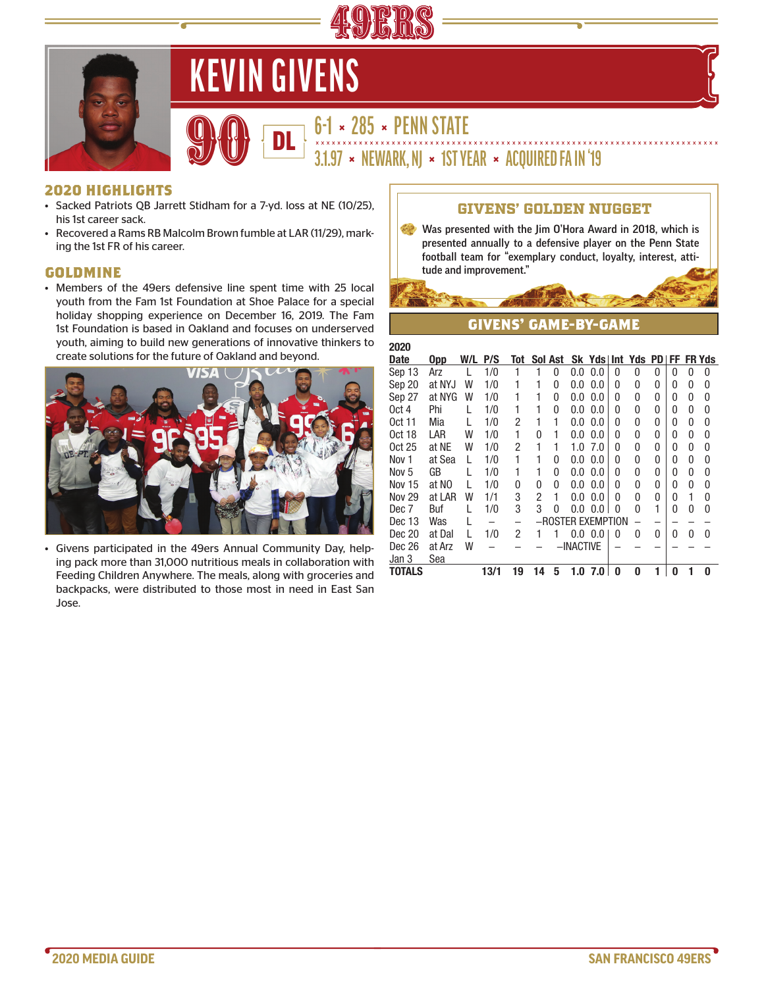

# **KEVIN GIVENS**

# **6-1 × 285 × PENN STATE**<br>
3.1.97 × NEWARK, NJ × 1ST YEAR × ACQUIRED FA IN '19

#### **2020 HIGHLIGHTS**

- Sacked Patriots QB Jarrett Stidham for a 7-yd. loss at NE (10/25), his 1st career sack.
- Recovered a Rams RB Malcolm Brown fumble at LAR (11/29), marking the 1st FR of his career.

#### **GOLDMINE**

• Members of the 49ers defensive line spent time with 25 local youth from the Fam 1st Foundation at Shoe Palace for a special holiday shopping experience on December 16, 2019. The Fam 1st Foundation is based in Oakland and focuses on underserved youth, aiming to build new generations of innovative thinkers to create solutions for the future of Oakland and beyond.



• Givens participated in the 49ers Annual Community Day, helping pack more than 31,000 nutritious meals in collaboration with Feeding Children Anywhere. The meals, along with groceries and backpacks, were distributed to those most in need in East San Jose.

#### GIVENS' GOLDEN NUGGET

• Was presented with the Jim O'Hora Award in 2018, which is presented annually to a defensive player on the Penn State football team for "exemplary conduct, loyalty, interest, attitude and improvement."

## **GIVENS' GAME-BY-GAME**

| 2020             |        |     |      |     |          |         |           |                   |   |                |              |   |          |               |
|------------------|--------|-----|------|-----|----------|---------|-----------|-------------------|---|----------------|--------------|---|----------|---------------|
| <b>Date</b>      | Opp    | W/L | P/S  | Tot |          | Sol Ast |           |                   |   | Sk Yds Int Yds | <b>PDIFF</b> |   |          | <b>FR Yds</b> |
| Sep 13           | Arz    |     | 1/0  |     |          | 0       | 0.0       | 0.0               | 0 | 0              | 0            | 0 | 0        | 0             |
| Sep 20           | at NYJ | W   | 1/0  | 1   | 1        | 0       | 0.0       | 0.0               | 0 | 0              | 0            | 0 | 0        | 0             |
| Sep 27           | at NYG | W   | 1/0  | 1   | 1        | 0       | 0.0       | 0.0               | 0 | 0              | 0            | 0 | 0        | 0             |
| Oct 4            | Phi    |     | 1/0  | 1   | 1        | 0       | 0.0       | 0.0               | 0 | 0              | 0            | 0 | 0        | 0             |
| <b>Oct 11</b>    | Mia    |     | 1/0  | 2   | 1        | 1       | 0.0       | 0.0               | 0 | 0              | 0            | 0 | 0        | 0             |
| <b>Oct 18</b>    | LAR    | W   | 1/0  | 1   | $\Omega$ | 1       | 0.0       | 0.0               | 0 | 0              | 0            | 0 | 0        | 0             |
| <b>Oct 25</b>    | at NE  | W   | 1/0  | 2   | 1        | 1       | 1.0       | 7.0               | 0 | 0              | 0            | 0 | 0        | 0             |
| Nov 1            | at Sea | L   | 1/0  | 1   | 1        | 0       | 0.0       | 0.0               | 0 | 0              | 0            | 0 | 0        | 0             |
| Nov <sub>5</sub> | GB     |     | 1/0  | 1   | 1        | 0       | 0.0       | 0.0               | 0 | 0              | 0            | 0 | 0        | 0             |
| <b>Nov 15</b>    | at NO  | L   | 1/0  | 0   | 0        | 0       | 0.0       | 0.0               | 0 | 0              | 0            | 0 | 0        | 0             |
| <b>Nov 29</b>    | at LAR | W   | 1/1  | 3   | 2        | 1       | 0.0       | 0.0               | 0 | 0              | 0            | 0 | 1        | 0             |
| Dec 7            | Buf    |     | 1/0  | 3   | 3        | 0       | 0.0       | 0.0               | 0 | 0              | 1            | 0 | $\Omega$ | 0             |
| Dec 13           | Was    |     |      |     |          |         |           | -ROSTER EXEMPTION |   |                |              |   |          |               |
| Dec 20           | at Dal | L   | 1/0  | 2   |          | 1       |           | $0.0\ 0.0$        | 0 | 0              | 0            | 0 | $\Omega$ | 0             |
| Dec 26           | at Arz | W   |      |     |          |         | -INACTIVE |                   |   |                |              |   |          |               |
| Jan <sub>3</sub> | Sea    |     |      |     |          |         |           |                   |   |                |              |   |          |               |
| TOTALS           |        |     | 13/1 | 19  | 14       | 5       | 1.0       | 7.0               | 0 | 0              | 1            | 0 | 1        | 0             |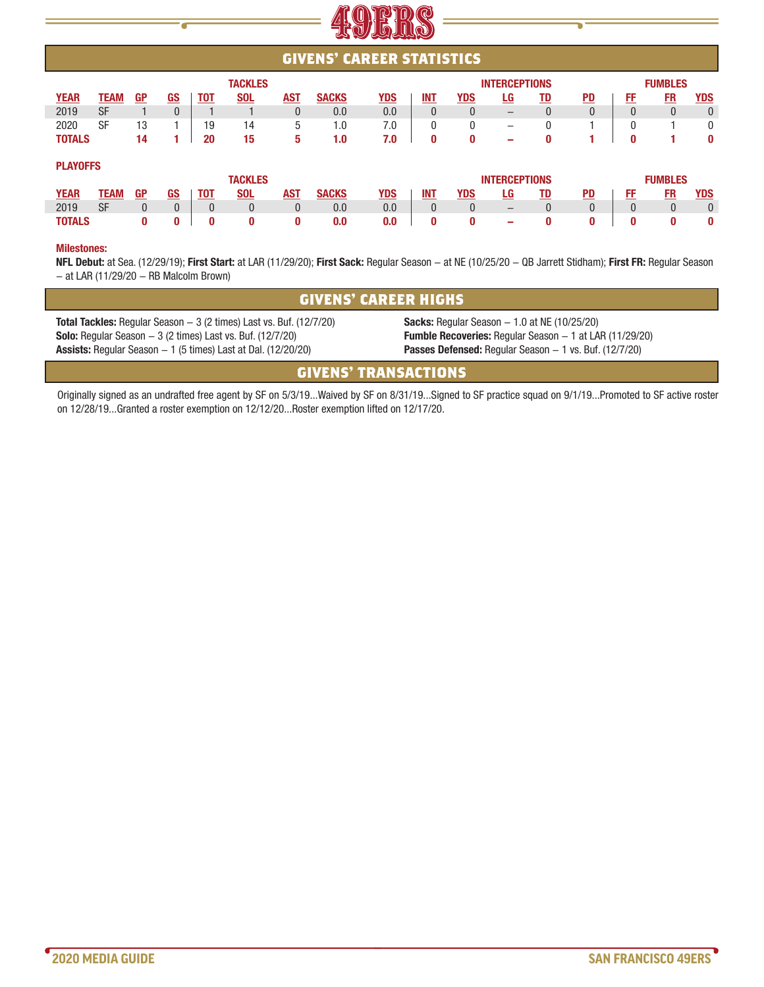

|               | <b>GIVENS' CAREER STATISTICS</b> |              |              |            |                |            |              |            |                                        |              |                          |                |                 |                |           |              |
|---------------|----------------------------------|--------------|--------------|------------|----------------|------------|--------------|------------|----------------------------------------|--------------|--------------------------|----------------|-----------------|----------------|-----------|--------------|
|               | <b>TACKLES</b>                   |              |              |            |                |            |              |            | <b>INTERCEPTIONS</b><br><b>FUMBLES</b> |              |                          |                |                 |                |           |              |
| <b>YEAR</b>   | <b>TEAM</b>                      | <b>GP</b>    | <u>GS</u>    | <b>TOT</b> | <b>SOL</b>     | <b>AST</b> | <b>SACKS</b> | <u>YDS</u> | <b>INT</b>                             | YDS          | LG                       | <u>TD</u>      | $\overline{PD}$ | FF             | FR        | <u>YDS</u>   |
| 2019          | <b>SF</b>                        |              | $\mathbf{0}$ |            |                | 0          | 0.0          | 0.0        | $\Omega$                               | $\mathbf{0}$ | $-$                      | $\overline{0}$ | $\Omega$        | $\Omega$       | $\Omega$  | $\mathbf{0}$ |
| 2020          | <b>SF</b>                        | 13           |              | 19         | 14             | 5          | 1.0          | 7.0        | 0                                      | $\mathbf{0}$ | $\overline{\phantom{0}}$ | $\mathbf{0}$   |                 | $\Omega$       |           | $\mathbf{0}$ |
| <b>TOTALS</b> |                                  | 14           |              | 20         | 15             | 5          | 1.0          | 7.0        | 0                                      | 0            | -                        | 0              |                 | $\bf{0}$       |           | $\bf{0}$     |
|               | <b>PLAYOFFS</b>                  |              |              |            |                |            |              |            |                                        |              |                          |                |                 |                |           |              |
|               |                                  |              |              |            | <b>TACKLES</b> |            |              |            |                                        |              | <b>INTERCEPTIONS</b>     |                |                 | <b>FUMBLES</b> |           |              |
| <b>YEAR</b>   | TEAM                             | <b>GP</b>    | <u>GS</u>    | <b>TOT</b> | <b>SOL</b>     | <b>AST</b> | <b>SACKS</b> | <b>YDS</b> | <b>INT</b>                             | YDS          | LG                       | <u>TD</u>      | $\overline{PD}$ | FF             | <b>FR</b> | <b>YDS</b>   |
| 2019          | <b>SF</b>                        | $\mathbf{0}$ | $\mathbf{0}$ | $\Omega$   | $\mathbf{0}$   | 0          | 0.0          | 0.0        | $\Omega$                               | $\mathbf{0}$ | $\qquad \qquad -$        | $\Omega$       | $\mathbf{0}$    | $\Omega$       | $\Omega$  | $\mathbf{0}$ |
| <b>TOTALS</b> |                                  | 0            | 0            | 0          | 0              | 0          | 0.0          | 0.0        | 0                                      | 0            | -                        | 0              | 0               | $\bf{0}$       | 0         | $\bf{0}$     |
|               |                                  |              |              |            |                |            |              |            |                                        |              |                          |                |                 |                |           |              |

#### **Milestones:**

L

E

**NFL Debut:** at Sea. (12/29/19); **First Start:** at LAR (11/29/20); **First Sack:** Regular Season - at NE (10/25/20 - QB Jarrett Stidham); **First FR:** Regular Season  $-$  at LAR (11/29/20  $-$  RB Malcolm Brown)

| <b>GIVENS' CAREER HIGHS</b>                                                                                                                                                                                                  |                                                                                                                                                                                         |  |  |  |  |  |  |  |  |  |
|------------------------------------------------------------------------------------------------------------------------------------------------------------------------------------------------------------------------------|-----------------------------------------------------------------------------------------------------------------------------------------------------------------------------------------|--|--|--|--|--|--|--|--|--|
| <b>Total Tackles:</b> Regular Season $-3$ (2 times) Last vs. Buf. (12/7/20)<br><b>Solo:</b> Regular Season $-3$ (2 times) Last vs. Buf. $(12/7/20)$<br><b>Assists:</b> Regular Season $-1$ (5 times) Last at Dal. (12/20/20) | <b>Sacks:</b> Regular Season $-1.0$ at NE (10/25/20)<br><b>Fumble Recoveries:</b> Regular Season – 1 at LAR (11/29/20)<br><b>Passes Defensed:</b> Regular Season - 1 vs. Buf. (12/7/20) |  |  |  |  |  |  |  |  |  |
| <b>GIVENS' TRANSACTIONS</b>                                                                                                                                                                                                  |                                                                                                                                                                                         |  |  |  |  |  |  |  |  |  |
|                                                                                                                                                                                                                              |                                                                                                                                                                                         |  |  |  |  |  |  |  |  |  |

Originally signed as an undrafted free agent by SF on 5/3/19...Waived by SF on 8/31/19...Signed to SF practice squad on 9/1/19...Promoted to SF active roster on 12/28/19...Granted a roster exemption on 12/12/20...Roster exemption lifted on 12/17/20.